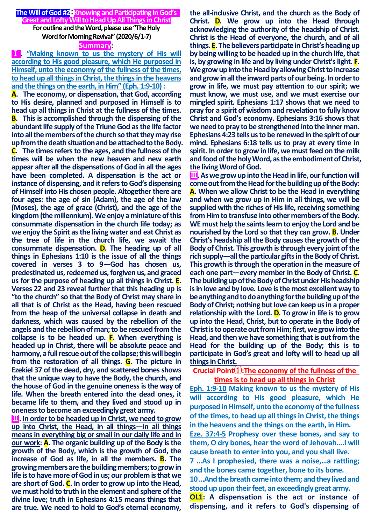#### **The Will of God #2**:**Knowing and Participating in God's Great and Lofty Will to Head Up All Things in Christ**

**For outline and the Word, please use "The Holy Word for Morning Revival" (2020/6/1-7)**

#### **Summary:**

Ⅰ**. "Making known to us the mystery of His will according to His good pleasure, which He purposed in Himself, unto the economy of the fullness of the times, to head up all things in Christ, the things in the heavens and the things on the earth, in Him" (Eph. 1:9-10):**

**A. The economy, or dispensation, that God, according to His desire, planned and purposed in Himself is to head up all things in Christ at the fullness of the times. B. This is accomplished through the dispensing of the abundant life supply of the Triune God as the life factor into all the members of the church so that they may rise up from the death situation and be attached to the Body. C. The times refers to the ages, and the fullness of the times will be when the new heaven and new earth appear after all the dispensations of God in all the ages have been completed. A dispensation is the act or instance of dispensing, and it refers to God's dispensing of Himself into His chosen people. Altogether there are four ages: the age of sin (Adam), the age of the law (Moses), the age of grace (Christ), and the age of the kingdom (the millennium). We enjoy a miniature of this consummate dispensation in the church life today; as we enjoy the Spirit as the living water and eat Christ as the tree of life in the church life, we await the consummate dispensation. D. The heading up of all things in Ephesians 1:10 is the issue of all the things covered in verses 3 to 9—God has chosen us, predestinated us, redeemed us, forgiven us, and graced us for the purpose of heading up all things in Christ. E. Verses 22 and 23 reveal further that this heading up is "to the church" so that the Body of Christ may share in all that is of Christ as the Head, having been rescued from the heap of the universal collapse in death and darkness, which was caused by the rebellion of the angels and the rebellion of man; to be rescued from the collapse is to be headed up. F. When everything is headed up in Christ, there will be absolute peace and harmony, a full rescue out of the collapse; this will begin from the restoration of all things. G. The picture in Ezekiel 37 of the dead, dry, and scattered bones shows that the unique way to have the Body, the church, and the house of God in the genuine oneness is the way of life. When the breath entered into the dead ones, it became life to them, and they lived and stood up in oneness to become an exceedingly great army.**

**11.** In order to be headed up in Christ, we need to grow **up into Christ, the Head, in all things—in all things means in everything big or small in our daily life and in our work: A. The organic building up of the Body is the growth of the Body, which is the growth of God, the increase of God as life, in all the members. B. The growing members are the building members; to grow in life is to have more of God in us; our problem is thatwe are short of God. C. In order to grow up into the Head, we must hold to truth in the element and sphere of the divine love; truth in Ephesians 4:15 means things that are true. We need to hold to God's eternal economy,** 

**the all-inclusive Christ, and the church as the Body of Christ. D. We grow up into the Head through acknowledging the authority of the headship of Christ. Christ is the Head of everyone, the church, and of all things. E. The believers participate in Christ's heading up by being willing to be headed up in the church life, that is, by growing in life and by living under Christ's light. F. We grow up into the Head by allowing Christ to increase and grow in all the inward parts of our being. In order to grow in life, we must pay attention to our spirit; we must know, we must use, and we must exercise our mingled spirit. Ephesians 1:17 shows that we need to pray for a spirit of wisdom and revelation to fully know Christ and God's economy. Ephesians 3:16 shows that we need to pray to be strengthened into the inner man. Ephesians 4:23 tells us to be renewed in the spirit of our mind. Ephesians 6:18 tells us to pray at every time in spirit. In order to grow in life, we must feed on the milk and food of the holy Word, as the embodiment of Christ, the living Word of God.**

**III.** As we grow up into the Head in life, our function will **come out from the Head for the building up of the Body: A. When we allow Christ to be the Head in everything and when we grow up in Him in all things, we will be supplied with the riches of His life, receiving something from Him to transfuse into other members of the Body. WE must help the saints learn to enjoy the Lord and be nourished by the Lord so that they can grow. B. Under Christ's headship all the Body causes the growth of the Body of Christ. This growth is through every joint of the rich supply—all the particular gifts in the Body of Christ. This growth is through the operation in the measure of each one part—every member in the Body of Christ. C. The building up of the Body of Christ under His headship is in love and by love. Love is the most excellent way to be anything and to do anything for the building up of the Body of Christ; nothing but love can keep us in a proper relationship with the Lord. D. To grow in life is to grow up into the Head, Christ, but to operate in the Body of Christ is to operate out from Him; first, we grow into the Head, and then we have something that is out from the Head for the building up of the Body; this is to participate in God's great and lofty will to head up all things in Christ.**

### **Crucial Point**⑴**:The economy of the fullness of the times is to head up all things in Christ**

**Eph. 1:9-10 Making known to us the mystery of His will according to His good pleasure, which He purposed in Himself, unto the economy of the fullness of the times, to head up all things in Christ, the things in the heavens and the things on the earth, in Him.** 

**Eze. 37:4-5 Prophesy over these bones, and say to them, O dry bones, hear the word of Jehovah….I will cause breath to enter into you, and you shall live.**

**7 …As I prophesied, there was a noise,…a rattling; and the bones came together, bone to its bone.**

**10 …And the breath came into them; and they lived and stood up upon their feet, an exceedingly great army.** 

**OL1: A dispensation is the act or instance of dispensing, and it refers to God's dispensing of**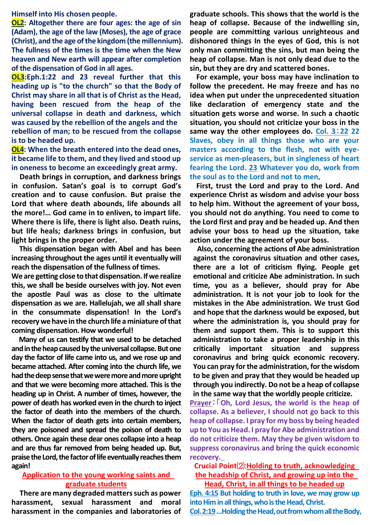**Himself into His chosen people.** 

**OL2: Altogether there are four ages: the age of sin (Adam), the age of the law (Moses), the age of grace (Christ), and the age of the kingdom (the millennium). The fullness of the times is the time when the New heaven and New earth will appear after completion of the dispensation of God in all ages.**

**OL3:Eph.1:22 and 23 reveal further that this heading up is "to the church" so that the Body of Christ may share in all that is of Christ as the Head, having been rescued from the heap of the universal collapse in death and darkness, which was caused by the rebellion of the angels and the rebellion of man; to be rescued from the collapse is to be headed up.**

**OL4: When the breath entered into the dead ones, it became life to them, and they lived and stood up in oneness to become an exceedingly great army.**

**Death brings in corruption, and darkness brings in confusion. Satan's goal is to corrupt God's creation and to cause confusion. But praise the Lord that where death abounds, life abounds all the more!… God came in to enliven, to impart life. Where there is life, there is light also. Death ruins, but life heals; darkness brings in confusion, but light brings in the proper order.**

**This dispensation began with Abel and has been increasing throughout the ages until it eventually will reach the dispensation of the fullness of times.**

**We are getting close to that dispensation. If we realize this, we shall be beside ourselves with joy. Not even the apostle Paul was as close to the ultimate dispensation as we are. Hallelujah, we all shall share in the consummate dispensation! In the Lord's recovery we have in the church life a miniature of that coming dispensation. How wonderful!**

**Many of us can testify that we used to be detached and in the heap caused by the universal collapse. But one day the factor of life came into us, and we rose up and became attached. After coming into the church life, we had the deep sense that we were more and more upright and that we were becoming more attached. This is the heading up in Christ. A number of times, however, the power of death has worked even in the church to inject the factor of death into the members of the church. When the factor of death gets into certain members, they are poisoned and spread the poison of death to others. Once again these dear ones collapse into a heap and are thus far removed from being headed up. But, praise the Lord, the factor of life eventually reaches them again!** 

### **Application to the young working saints and graduate students**

**There are many degraded matters such as power harassment, sexual harassment and moral harassment in the companies and laboratories of**  **graduate schools. This shows that the world is the heap of collapse. Because of the indwelling sin, people are committing various unrighteous and dishonored things In the eyes of God, this is not only man committing the sins, but man being the heap of collapse. Man is not only dead due to the sin, but they are dry and scattered bones.**

**For example, your boss may have inclination to follow the precedent. He may freeze and has no idea when put under the unprecedented situation like declaration of emergency state and the situation gets worse and worse. In such a chaotic situation, you should not criticize your boss in the same way the other employees do. Col. 3**:**22 22 Slaves, obey in all things those who are your masters according to the flesh, not with eyeservice as men-pleasers, but in singleness of heart fearing the Lord. 23 Whatever you do, work from the soul as to the Lord and not to men,** 

**First, trust the Lord and pray to the Lord. And experience Christ as wisdom and advise your boss to help him. Without the agreement of your boss, you should not do anything. You need to come to the Lord first and pray and be headed up. And then advise your boss to head up the situation, take action under the agreement of your boss.**

**Also, concerning the actions of Abe administration against the coronavirus situation and other cases, there are a lot of criticism flying. People get emotional and criticize Abe administration. In such time, you as a believer, should pray for Abe administration. It is not your job to look for the mistakes in the Abe administration. We trust God and hope that the darkness would be exposed, but where the administration is, you should pray for them and support them. This is to support this administration to take a proper leadership in this critically important situation and suppress coronavirus and bring quick economic recovery. You can pray for the administration, for the wisdom to be given and pray that they would be headed up through you indirectly. Do not be a heap of collapse in the same way that the worldly people criticize.**

**Prayer**:「**Oh, Lord Jesus, the world is the heap of collapse. As a believer, I should not go back to this heap of collapse. I pray for my boss by being headed up to You as Head. I pray for Abe administration and do not criticize them. May they be given wisdom to suppress coronavirus and bring the quick economic recovery.**

# **Crucial Point**⑵:**Holding to truth, acknowledging the headship of Christ, and growing up into the Head, Christ, in all things to be headed up**

**Eph. 4:15 But holding to truth in love, we may grow up into Him in all things, who is the Head, Christ. Col. 2:19…Holding the Head, out from whom all the Body,**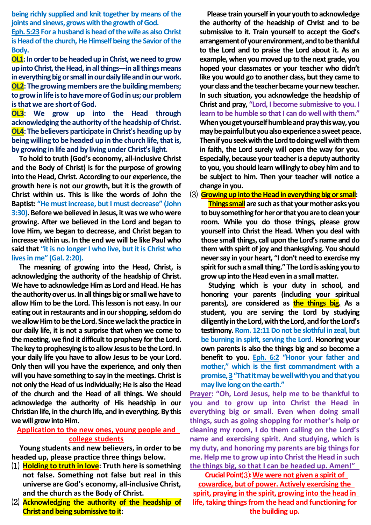**being richly supplied and knit together by means of the joints and sinews, grows with the growth of God.**

**Eph. 5:23 For a husband is head of the wife as also Christ is Head of the church, He Himself being the Savior of the Body.**

**OL1:** In order to be headed up in Christ, we need to grow **up into Christ, the Head, in all things—in all things means in everything big or small in our daily life and in our work. OL2: The growing members are the building members; to grow in life is to have more ofGod in us; our problem is that we are short of God.**

**OL3: We grow up into the Head through acknowledging the authority of the headship of Christ. OL4: The believers participate in Christ's heading up by being willing to be headed up in the church life, that is, by growing in life and by living under Christ's light.**

**To hold to truth (God's economy, all-inclusive Christ and the Body of Christ) is for the purpose of growing into the Head, Christ. According to our experience, the growth here is not our growth, but it is the growth of Christ within us. This is like the words of John the Baptist: "He must increase, but I must decrease" (John 3:30). Before we believed in Jesus, it was we who were growing. After we believed in the Lord and began to love Him, we began to decrease, and Christ began to increase within us. In the end we will be like Paul who said that "it is no longer I who live, but it is Christ who lives in me" (Gal. 2:20).**

**The meaning of growing into the Head, Christ, is acknowledging the authority of the headship of Christ. We have to acknowledge Him as Lord and Head. He has the authority over us. In all things big or small we have to allow Him to be the Lord. This lesson is not easy. In our eating out in restaurants and in our shopping, seldom do we allow Him to be the Lord. Since we lack the practice in our daily life, it is not a surprise that when we come to the meeting, we find it difficult to prophesy for the Lord. The key to prophesying is to allow Jesus to be the Lord. In your daily life you have to allow Jesus to be your Lord. Only then will you have the experience, and only then will you have something to say in the meetings. Christ is not only the Head of us individually; He is also the Head of the church and the Head of all things. We should acknowledge the authority of His headship in our Christian life, in the church life, and in everything. By this we will grow into Him.**

## **Application to the new ones, young people and college students**

**Young students and new believers, in order to be headed up, please practice three things below.**

- ⑴ **Holding to truth in love: Truth here is something not false. Something not false but real in this universe are God's economy, all-inclusive Christ, and the church as the Body of Christ.**
- ⑵ **Acknowledging the authority of the headship of Christ and being submissive to it:**

**Please train yourself in your youth to acknowledge the authority of the headship of Christ and to be submissive to it. Train yourself to accept the God's arrangement of your environment, and to be thankful to the Lord and to praise the Lord about it. As an example, when you moved up to the next grade, you hoped your classmates or your teacher who didn't like you would go to another class, but they came to your class and the teacher became your new teacher. In such situation, you acknowledge the headship of Christ and pray, "Lord, I become submissive to you. I learn to be humble so that I can do well with them." When you get yourself humble and pray this way, you may be painful but you also experience a sweet peace. Then if you seekwith the Lord to doing well with them in faith, the Lord surely will open the way for you. Especially, because your teacher is a deputy authority to you, you should learn willingly to obey him and to be subject to him. Then your teacher will notice a change in you.**

⑶ **Growing up into the Head in everything big or small:**

**Things small** are such as that your mother asks you **to buy something for her or that you are to clean your room. While you do those things, please grow yourself into Christ the Head. When you deal with those small things, call upon the Lord's name and do them with spirit of joy and thanksgiving. You should never say in your heart, "I don't need to exercise my spirit for such a small thing."The Lord is asking you to grow up into the Head even in a small matter.**

**Studying which is your duty in school, and honoring your parents (including your spiritual parents), are considered as the things big. As a student, you are serving the Lord by studying diligently in the Lord, with the Lord, and for the Lord's**  testimony. Rom. 12:11 Do not be slothful in zeal, but **be burning in spirit, serving the Lord. Honoring your own parents is also the things big and so become a benefit to you. Eph. 6:2 "Honor your father and mother," which is the first commandment with a promise, 3"That it may be well with you and that you may live long on the earth."**

**Prayer: "Oh, Lord Jesus, help me to be thankful to you and to grow up into Christ the Head in everything big or small. Even when doing small things, such as going shopping for mother's help or cleaning my room, I do them calling on the Lord's name and exercising spirit. And studying, which is my duty, and honoring my parents are big things for me. Help me to grow up into Christ the Head in such the things big, so that I can be headed up. Amen!"** 

**Crucial Point**⑶**:We were not given a spirit of cowardice, but of power. Actively exercising the spirit, praying in the spirit, growing into the head in life, taking things from the head and functioning for the building up.**